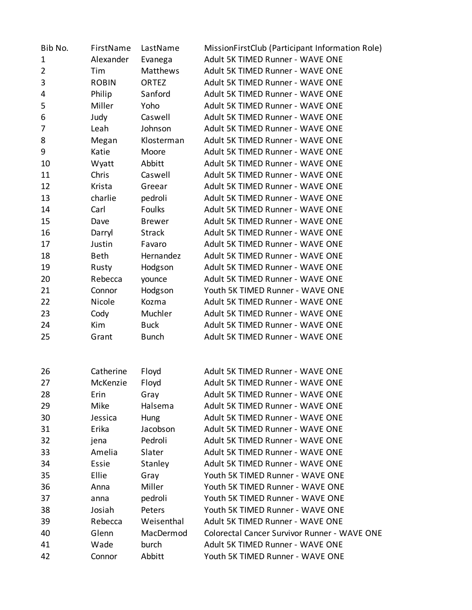| Bib No.        | FirstName    | LastName      | MissionFirstClub (Participant Information Role) |
|----------------|--------------|---------------|-------------------------------------------------|
| $\mathbf 1$    | Alexander    | Evanega       | Adult 5K TIMED Runner - WAVE ONE                |
| $\overline{2}$ | Tim          | Matthews      | Adult 5K TIMED Runner - WAVE ONE                |
| 3              | <b>ROBIN</b> | <b>ORTEZ</b>  | Adult 5K TIMED Runner - WAVE ONE                |
| 4              | Philip       | Sanford       | Adult 5K TIMED Runner - WAVE ONE                |
| 5              | Miller       | Yoho          | Adult 5K TIMED Runner - WAVE ONE                |
| 6              | Judy         | Caswell       | Adult 5K TIMED Runner - WAVE ONE                |
| 7              | Leah         | Johnson       | Adult 5K TIMED Runner - WAVE ONE                |
| 8              | Megan        | Klosterman    | Adult 5K TIMED Runner - WAVE ONE                |
| 9              | Katie        | Moore         | Adult 5K TIMED Runner - WAVE ONE                |
| 10             | Wyatt        | Abbitt        | Adult 5K TIMED Runner - WAVE ONE                |
| 11             | Chris        | Caswell       | Adult 5K TIMED Runner - WAVE ONE                |
| 12             | Krista       | Greear        | Adult 5K TIMED Runner - WAVE ONE                |
| 13             | charlie      | pedroli       | Adult 5K TIMED Runner - WAVE ONE                |
| 14             | Carl         | Foulks        | Adult 5K TIMED Runner - WAVE ONE                |
| 15             | Dave         | <b>Brewer</b> | Adult 5K TIMED Runner - WAVE ONE                |
| 16             | Darryl       | <b>Strack</b> | Adult 5K TIMED Runner - WAVE ONE                |
| 17             | Justin       | Favaro        | Adult 5K TIMED Runner - WAVE ONE                |
| 18             | <b>Beth</b>  | Hernandez     | Adult 5K TIMED Runner - WAVE ONE                |
| 19             | Rusty        | Hodgson       | Adult 5K TIMED Runner - WAVE ONE                |
| 20             | Rebecca      | younce        | Adult 5K TIMED Runner - WAVE ONE                |
| 21             | Connor       | Hodgson       | Youth 5K TIMED Runner - WAVE ONE                |
| 22             | Nicole       | Kozma         | Adult 5K TIMED Runner - WAVE ONE                |
| 23             | Cody         | Muchler       | Adult 5K TIMED Runner - WAVE ONE                |
| 24             | Kim          | <b>Buck</b>   | Adult 5K TIMED Runner - WAVE ONE                |
| 25             | Grant        | <b>Bunch</b>  | Adult 5K TIMED Runner - WAVE ONE                |
|                |              |               |                                                 |
| 26             | Catherine    | Floyd         | Adult 5K TIMED Runner - WAVE ONE                |
| 27             | McKenzie     | Floyd         | Adult 5K TIMED Runner - WAVE ONE                |
| 28             | Erin         | Gray          | Adult 5K TIMED Runner - WAVE ONE                |
| 29             | Mike         | Halsema       | Adult 5K TIMED Runner - WAVE ONE                |
| 30             | Jessica      | Hung          | Adult 5K TIMED Runner - WAVE ONE                |
| 31             | Erika        | Jacobson      | Adult 5K TIMED Runner - WAVE ONE                |
| 32             | jena         | Pedroli       | Adult 5K TIMED Runner - WAVE ONE                |
| 33             | Amelia       | Slater        | Adult 5K TIMED Runner - WAVE ONE                |
| 34             | Essie        | Stanley       | Adult 5K TIMED Runner - WAVE ONE                |
| 35             | Ellie        | Gray          | Youth 5K TIMED Runner - WAVE ONE                |
| 36             | Anna         | Miller        | Youth 5K TIMED Runner - WAVE ONE                |
| 37             | anna         | pedroli       | Youth 5K TIMED Runner - WAVE ONE                |
| 38             | Josiah       | Peters        | Youth 5K TIMED Runner - WAVE ONE                |
| 39             | Rebecca      | Weisenthal    | Adult 5K TIMED Runner - WAVE ONE                |
| 40             | Glenn        | MacDermod     | Colorectal Cancer Survivor Runner - WAVE ONE    |
| 41             | Wade         | burch         | Adult 5K TIMED Runner - WAVE ONE                |
| 42             | Connor       | Abbitt        | Youth 5K TIMED Runner - WAVE ONE                |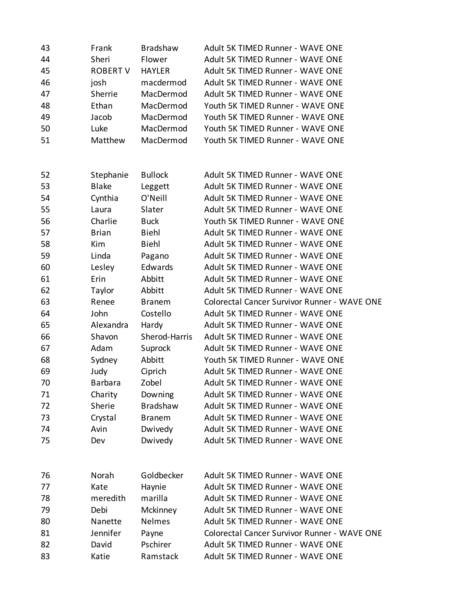| 43 | Frank           | <b>Bradshaw</b> | Adult 5K TIMED Runner - WAVE ONE             |
|----|-----------------|-----------------|----------------------------------------------|
| 44 | Sheri           | Flower          | Adult 5K TIMED Runner - WAVE ONE             |
| 45 | <b>ROBERT V</b> | <b>HAYLER</b>   | Adult 5K TIMED Runner - WAVE ONE             |
| 46 | josh            | macdermod       | Adult 5K TIMED Runner - WAVE ONE             |
| 47 | Sherrie         | MacDermod       | Adult 5K TIMED Runner - WAVE ONE             |
| 48 | Ethan           | MacDermod       | Youth 5K TIMED Runner - WAVE ONE             |
| 49 | Jacob           | MacDermod       | Youth 5K TIMED Runner - WAVE ONE             |
| 50 | Luke            | MacDermod       | Youth 5K TIMED Runner - WAVE ONE             |
| 51 | Matthew         | MacDermod       | Youth 5K TIMED Runner - WAVE ONE             |
|    |                 |                 |                                              |
|    |                 |                 |                                              |
| 52 | Stephanie       | <b>Bullock</b>  | Adult 5K TIMED Runner - WAVE ONE             |
| 53 | <b>Blake</b>    | Leggett         | Adult 5K TIMED Runner - WAVE ONE             |
| 54 | Cynthia         | O'Neill         | Adult 5K TIMED Runner - WAVE ONE             |
| 55 | Laura           | Slater          | Adult 5K TIMED Runner - WAVE ONE             |
| 56 | Charlie         | <b>Buck</b>     | Youth 5K TIMED Runner - WAVE ONE             |
| 57 | <b>Brian</b>    | <b>Biehl</b>    | Adult 5K TIMED Runner - WAVE ONE             |
| 58 | Kim             | <b>Biehl</b>    | Adult 5K TIMED Runner - WAVE ONE             |
| 59 | Linda           | Pagano          | Adult 5K TIMED Runner - WAVE ONE             |
| 60 | Lesley          | Edwards         | Adult 5K TIMED Runner - WAVE ONE             |
| 61 | Erin            | Abbitt          | Adult 5K TIMED Runner - WAVE ONE             |
| 62 | Taylor          | Abbitt          | Adult 5K TIMED Runner - WAVE ONE             |
| 63 | Renee           | <b>Branem</b>   | Colorectal Cancer Survivor Runner - WAVE ONE |
| 64 | John            | Costello        | Adult 5K TIMED Runner - WAVE ONE             |
| 65 | Alexandra       | Hardy           | Adult 5K TIMED Runner - WAVE ONE             |
| 66 | Shavon          | Sherod-Harris   | Adult 5K TIMED Runner - WAVE ONE             |
| 67 | Adam            | Suprock         | Adult 5K TIMED Runner - WAVE ONE             |
| 68 | Sydney          | Abbitt          | Youth 5K TIMED Runner - WAVE ONE             |
| 69 | Judy            | Ciprich         | Adult 5K TIMED Runner - WAVE ONE             |
| 70 | <b>Barbara</b>  | Zobel           | Adult 5K TIMED Runner - WAVE ONE             |
| 71 | Charity         | Downing         | Adult 5K TIMED Runner - WAVE ONE             |
| 72 | Sherie          | <b>Bradshaw</b> | Adult 5K TIMED Runner - WAVE ONE             |
| 73 | Crystal         | <b>Branem</b>   | Adult 5K TIMED Runner - WAVE ONE             |
| 74 | Avin            | Dwivedy         | Adult 5K TIMED Runner - WAVE ONE             |
| 75 | Dev             | Dwivedy         | Adult 5K TIMED Runner - WAVE ONE             |
|    |                 |                 |                                              |
| 76 | Norah           | Goldbecker      | Adult 5K TIMED Runner - WAVE ONE             |
| 77 | Kate            | Haynie          | Adult 5K TIMED Runner - WAVE ONE             |
| 78 | meredith        | marilla         | Adult 5K TIMED Runner - WAVE ONE             |
| 79 | Debi            | Mckinney        | Adult 5K TIMED Runner - WAVE ONE             |
|    | Nanette         | Nelmes          | Adult 5K TIMED Runner - WAVE ONE             |
| 80 | Jennifer        |                 | Colorectal Cancer Survivor Runner - WAVE ONE |
| 81 |                 | Payne           |                                              |
| 82 | David           | Pschirer        | Adult 5K TIMED Runner - WAVE ONE             |
| 83 | Katie           | Ramstack        | Adult 5K TIMED Runner - WAVE ONE             |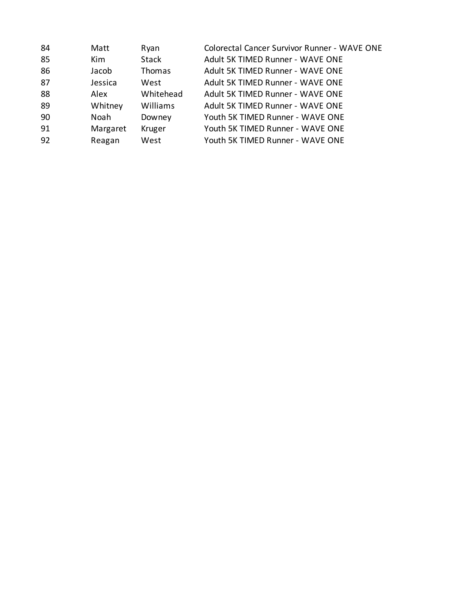| 84 | Matt     | Ryan         | Colorectal Cancer Survivor Runner - WAVE ONE |
|----|----------|--------------|----------------------------------------------|
| 85 | Kim      | <b>Stack</b> | Adult 5K TIMED Runner - WAVE ONE             |
| 86 | Jacob    | Thomas       | Adult 5K TIMED Runner - WAVE ONE             |
| 87 | Jessica  | West         | Adult 5K TIMED Runner - WAVE ONE             |
| 88 | Alex     | Whitehead    | Adult 5K TIMED Runner - WAVE ONE             |
| 89 | Whitney  | Williams     | Adult 5K TIMED Runner - WAVE ONE             |
| 90 | Noah     | Downey       | Youth 5K TIMED Runner - WAVE ONE             |
| 91 | Margaret | Kruger       | Youth 5K TIMED Runner - WAVE ONE             |
| 92 | Reagan   | West         | Youth 5K TIMED Runner - WAVE ONE             |
|    |          |              |                                              |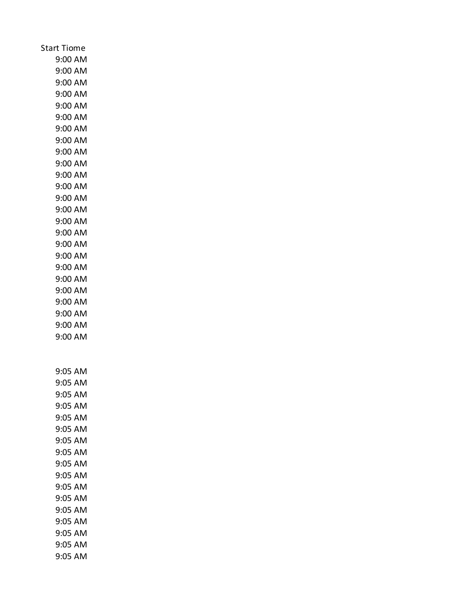| <b>Start Tiome</b> |
|--------------------|
| 9:00 AM            |
| 9:00 AM            |
| $9:00$ AM          |
| 9:00 AM            |
| 9:00 AM            |
| 9:00 AM            |
| 9:00 AM            |
| 9:00 AM            |
| 9:00 AM            |
| 9:00 AM            |
| 9:00 AM            |
| 9:00 AM            |
| 9:00 AM            |
| 9:00 AM            |
| 9:00 AM            |
| 9:00 AM            |
| 9:00 AM<br>9:00 AM |
| 9:00 AM            |
| 9:00 AM            |
| 9:00 AM            |
| 9:00 AM            |
| 9:00 AM            |
| 9:00 AM            |
| 9:00 AM            |
|                    |
|                    |
| 9:05 AM            |
| 9:05 AM            |
| 9:05 AM            |
| 9:05 AM            |
| 9:05 AM            |
| 9:05 AM            |
| 9:05 AM            |
| 9:05 AM            |
| 9:05 AM            |
| 9:05 AM            |
| 9:05 AM            |
| 9:05 AM            |
| 9:05 AM            |
| 9:05 AM            |
| 9:05 AM            |
| 9:05 AM            |
| 9:05 AM            |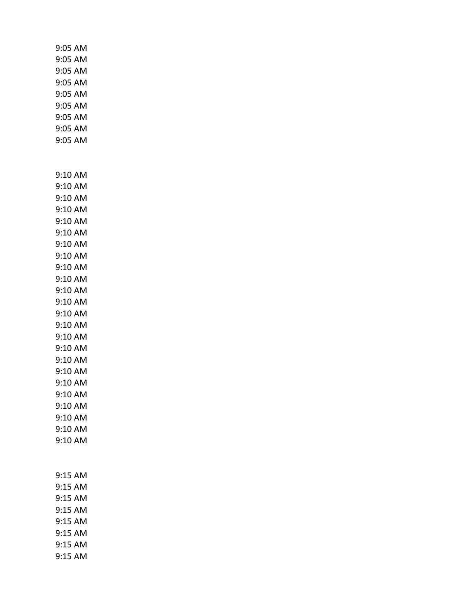|  | 9:05 AM<br>9:05 AM<br>9:05 AM<br>9:05 AM<br>9:05 AM<br>9:05 AM<br>9:05 AM<br>9:05 AM<br>9:05 AM                                                                                                                                                                      |  |
|--|----------------------------------------------------------------------------------------------------------------------------------------------------------------------------------------------------------------------------------------------------------------------|--|
|  | 9:10 AM<br>9:10 AM<br>9:10 AM<br>9:10 AM<br>9:10 AM<br>9:10 AM<br>9:10 AM<br>9:10 AM<br>9:10 AM<br>9:10 AM<br>9:10 AM<br>9:10 AM<br>9:10 AM<br>9:10 AM<br>9:10 AM<br>9:10 AM<br>9:10 AM<br>9:10 AM<br>9:10 AM<br>9:10 AM<br>9:10 AM<br>9:10 AM<br>9:10 AM<br>9:10 AM |  |
|  | 9:15 AM<br>9:15 AM<br>9:15 AM<br>9:15 AM<br>9:15 AM<br>9:15 AM<br>9:15 AM<br>9:15 AM                                                                                                                                                                                 |  |